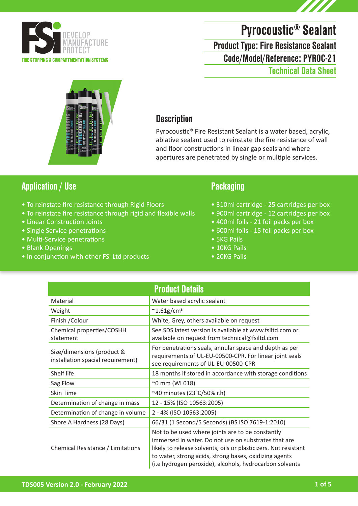

# Pyrocoustic® Sealant

Code/Model/Reference: PYROC-21 Product Type: Fire Resistance Sealant Technical Data Sheet



### **Description**

Pyrocoustic® Fire Resistant Sealant is a water based, acrylic, ablative sealant used to reinstate the fire resistance of wall and floor constructions in linear gap seals and where apertures are penetrated by single or multiple services.

### Application / Use Packaging

- To reinstate fire resistance through Rigid Floors
- To reinstate fire resistance through rigid and flexible walls
- Linear Construction Joints
- Single Service penetrations
- Multi-Service penetrations
- Blank Openings
- In conjunction with other FSi Ltd products

- 310ml cartridge 25 cartridges per box
- 900ml cartridge 12 cartridges per box
- 400ml foils 21 foil packs per box
- 600ml foils 15 foil packs per box
- 5KG Pails
- 10KG Pails
- 20KG Pails

| <b>Product Details</b>                                          |                                                                                                                                                                                                                                                                                                  |  |
|-----------------------------------------------------------------|--------------------------------------------------------------------------------------------------------------------------------------------------------------------------------------------------------------------------------------------------------------------------------------------------|--|
| Material                                                        | Water based acrylic sealant                                                                                                                                                                                                                                                                      |  |
| Weight                                                          | $\sim$ 1.61g/cm <sup>3</sup>                                                                                                                                                                                                                                                                     |  |
| Finish / Colour                                                 | White, Grey, others available on request                                                                                                                                                                                                                                                         |  |
| Chemical properties/COSHH<br>statement                          | See SDS latest version is available at www.fsiltd.com or<br>available on request from technical@fsiltd.com                                                                                                                                                                                       |  |
| Size/dimensions (product &<br>installation spacial requirement) | For penetrations seals, annular space and depth as per<br>requirements of UL-EU-00500-CPR. For linear joint seals<br>see requirements of UL-EU-00500-CPR                                                                                                                                         |  |
| Shelf life                                                      | 18 months if stored in accordance with storage conditions                                                                                                                                                                                                                                        |  |
| Sag Flow                                                        | ~0 mm (WI 018)                                                                                                                                                                                                                                                                                   |  |
| Skin Time                                                       | $^{\sim}$ 40 minutes (23°C/50% r.h)                                                                                                                                                                                                                                                              |  |
| Determination of change in mass                                 | 12 - 15% (ISO 10563:2005)                                                                                                                                                                                                                                                                        |  |
| Determination of change in volume                               | 2 - 4% (ISO 10563:2005)                                                                                                                                                                                                                                                                          |  |
| Shore A Hardness (28 Days)                                      | 66/31 (1 Second/5 Seconds) (BS ISO 7619-1:2010)                                                                                                                                                                                                                                                  |  |
| Chemical Resistance / Limitations                               | Not to be used where joints are to be constantly<br>immersed in water. Do not use on substrates that are<br>likely to release solvents, oils or plasticizers. Not resistant<br>to water, strong acids, strong bases, oxidizing agents<br>(i.e hydrogen peroxide), alcohols, hydrocarbon solvents |  |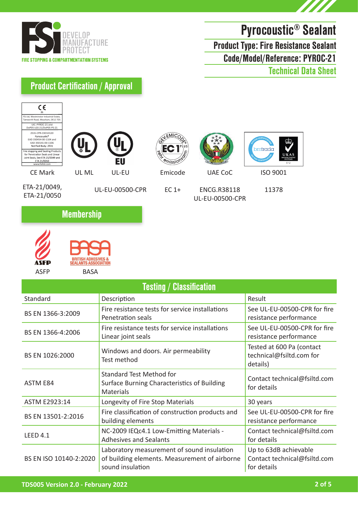



Code/Model/Reference: PYROC-21 Product Type: Fire Resistance Sealant

Technical Data Sheet

## Product Certification / Approval





BASA

ASFP

| <b>Testing / Classification</b> |                                                                                                                 |                                                                      |
|---------------------------------|-----------------------------------------------------------------------------------------------------------------|----------------------------------------------------------------------|
| Standard                        | Description                                                                                                     | Result                                                               |
| BS EN 1366-3:2009               | Fire resistance tests for service installations<br>Penetration seals                                            | See UL-EU-00500-CPR for fire<br>resistance performance               |
| BS EN 1366-4:2006               | Fire resistance tests for service installations<br>Linear joint seals                                           | See UL-EU-00500-CPR for fire<br>resistance performance               |
| BS EN 1026:2000                 | Windows and doors. Air permeability<br>Test method                                                              | Tested at 600 Pa (contact<br>technical@fsiltd.com for<br>details)    |
| ASTM E84                        | <b>Standard Test Method for</b><br>Surface Burning Characteristics of Building<br><b>Materials</b>              | Contact technical@fsiltd.com<br>for details                          |
| ASTM E2923:14                   | Longevity of Fire Stop Materials                                                                                | 30 years                                                             |
| BS EN 13501-2:2016              | Fire classification of construction products and<br>building elements                                           | See UL-EU-00500-CPR for fire<br>resistance performance               |
| LEED $4.1$                      | NC-2009 IEQc4.1 Low-Emitting Materials -<br><b>Adhesives and Sealants</b>                                       | Contact technical@fsiltd.com<br>for details                          |
| BS EN ISO 10140-2:2020          | Laboratory measurement of sound insulation<br>of building elements. Measurement of airborne<br>sound insulation | Up to 63dB achievable<br>Contact technical@fsiltd.com<br>for details |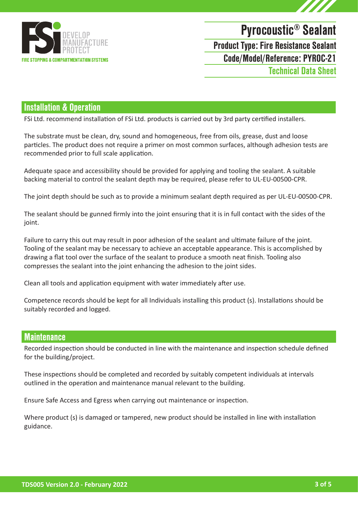

# Pyrocoustic® Sealant

Product Type: Fire Resistance Sealant

Code/Model/Reference: PYROC-21

Technical Data Sheet

### Installation & Operation

FSi Ltd. recommend installation of FSi Ltd. products is carried out by 3rd party certified installers.

The substrate must be clean, dry, sound and homogeneous, free from oils, grease, dust and loose particles. The product does not require a primer on most common surfaces, although adhesion tests are recommended prior to full scale application.

Adequate space and accessibility should be provided for applying and tooling the sealant. A suitable backing material to control the sealant depth may be required, please refer to UL-EU-00500-CPR.

The joint depth should be such as to provide a minimum sealant depth required as per UL-EU-00500-CPR.

The sealant should be gunned firmly into the joint ensuring that it is in full contact with the sides of the ioint.

Failure to carry this out may result in poor adhesion of the sealant and ultimate failure of the joint. Tooling of the sealant may be necessary to achieve an acceptable appearance. This is accomplished by drawing a flat tool over the surface of the sealant to produce a smooth neat finish. Tooling also compresses the sealant into the joint enhancing the adhesion to the joint sides.

Clean all tools and application equipment with water immediately after use.

Competence records should be kept for all Individuals installing this product (s). Installations should be suitably recorded and logged.

#### **Maintenance**

Recorded inspection should be conducted in line with the maintenance and inspection schedule defined for the building/project.

These inspections should be completed and recorded by suitably competent individuals at intervals outlined in the operation and maintenance manual relevant to the building.

Ensure Safe Access and Egress when carrying out maintenance or inspection.

Where product (s) is damaged or tampered, new product should be installed in line with installation guidance.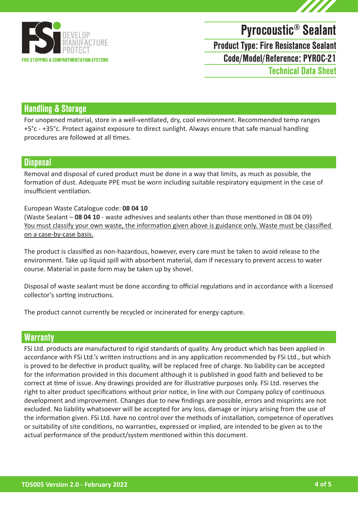

# Pyrocoustic® Sealant

Product Type: Fire Resistance Sealant

Code/Model/Reference: PYROC-21

Technical Data Sheet

### Handling & Storage

For unopened material, store in a well-ventilated, dry, cool environment. Recommended temp ranges +5°c - +35°c. Protect against exposure to direct sunlight. Always ensure that safe manual handling procedures are followed at all times.

#### **Disposal**

Removal and disposal of cured product must be done in a way that limits, as much as possible, the formation of dust. Adequate PPE must be worn including suitable respiratory equipment in the case of insufficient ventilation.

#### European Waste Catalogue code: **08 04 10**

(Waste Sealant – **08 04 10** - waste adhesives and sealants other than those mentioned in 08 04 09) You must classify your own waste, the information given above is guidance only. Waste must be classified on a case-by-case basis.

The product is classified as non-hazardous, however, every care must be taken to avoid release to the environment. Take up liquid spill with absorbent material, dam if necessary to prevent access to water course. Material in paste form may be taken up by shovel.

Disposal of waste sealant must be done according to official regulations and in accordance with a licensed collector's sorting instructions.

The product cannot currently be recycled or incinerated for energy capture.

#### **Warranty**

FSi Ltd. products are manufactured to rigid standards of quality. Any product which has been applied in accordance with FSi Ltd.'s written instructions and in any application recommended by FSi Ltd., but which is proved to be defective in product quality, will be replaced free of charge. No liability can be accepted for the information provided in this document although it is published in good faith and believed to be correct at time of issue. Any drawings provided are for illustrative purposes only. FSi Ltd. reserves the right to alter product specifications without prior notice, in line with our Company policy of continuous development and improvement. Changes due to new findings are possible, errors and misprints are not excluded. No liability whatsoever will be accepted for any loss, damage or injury arising from the use of the information given. FSi Ltd. have no control over the methods of installation, competence of operatives or suitability of site conditions, no warranties, expressed or implied, are intended to be given as to the actual performance of the product/system mentioned within this document.